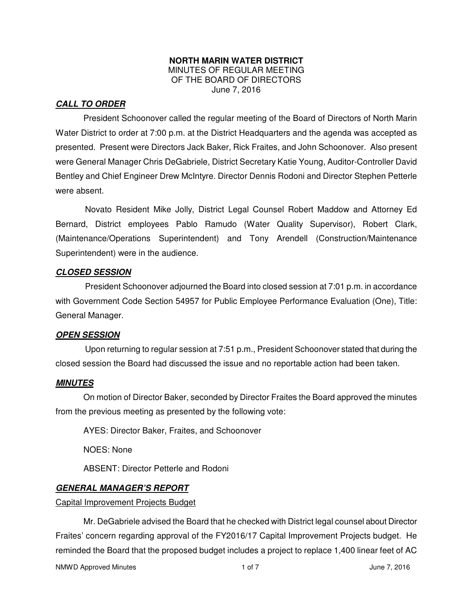#### **NORTH MARIN WATER DISTRICT**  MINUTES OF REGULAR MEETING OF THE BOARD OF DIRECTORS June 7, 2016

## *CALL TO ORDER*

President Schoonover called the regular meeting of the Board of Directors of North Marin Water District to order at 7:00 p.m. at the District Headquarters and the agenda was accepted as presented. Present were Directors Jack Baker, Rick Fraites, and John Schoonover. Also present were General Manager Chris DeGabriele, District Secretary Katie Young, Auditor-Controller David Bentley and Chief Engineer Drew McIntyre. Director Dennis Rodoni and Director Stephen Petterle were absent.

Novato Resident Mike Jolly, District Legal Counsel Robert Maddow and Attorney Ed Bernard, District employees Pablo Ramudo (Water Quality Supervisor), Robert Clark, (Maintenance/Operations Superintendent) and Tony Arendell (Construction/Maintenance Superintendent) were in the audience.

### *CLOSED SESSION*

President Schoonover adjourned the Board into closed session at 7:01 p.m. in accordance with Government Code Section 54957 for Public Employee Performance Evaluation (One), Title: General Manager.

### *OPEN SESSION*

Upon returning to regular session at 7:51 p.m., President Schoonover stated that during the closed session the Board had discussed the issue and no reportable action had been taken.

### *MINUTES*

 On motion of Director Baker, seconded by Director Fraites the Board approved the minutes from the previous meeting as presented by the following vote:

AYES: Director Baker, Fraites, and Schoonover

NOES: None

ABSENT: Director Petterle and Rodoni

### *GENERAL MANAGER'S REPORT*

Capital Improvement Projects Budget

 Mr. DeGabriele advised the Board that he checked with District legal counsel about Director Fraites' concern regarding approval of the FY2016/17 Capital Improvement Projects budget. He reminded the Board that the proposed budget includes a project to replace 1,400 linear feet of AC

NMWD Approved Minutes and the control of 1 of 7 and 1 of 7 and 1 of 7 and 1 of 7 and 1 of 7 and 1 of 7 and 1 of 7 and 1 of 7 and 1 of 7 and 1 of 7 and 1 of 7 and 1 of 7 and 1 of 7 and 1 of 7 and 1 of 7 and 1 of 7 and 1 of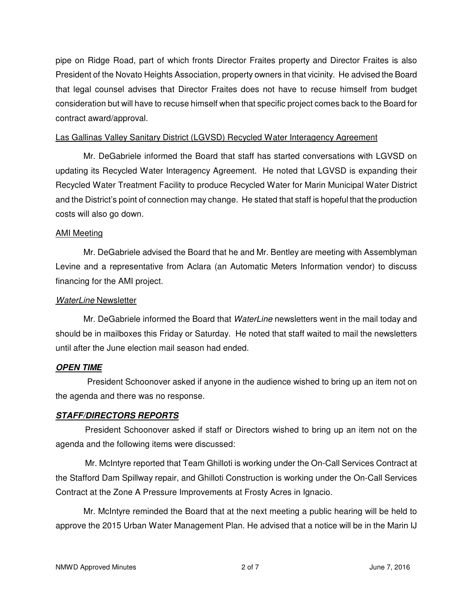pipe on Ridge Road, part of which fronts Director Fraites property and Director Fraites is also President of the Novato Heights Association, property owners in that vicinity. He advised the Board that legal counsel advises that Director Fraites does not have to recuse himself from budget consideration but will have to recuse himself when that specific project comes back to the Board for contract award/approval.

### Las Gallinas Valley Sanitary District (LGVSD) Recycled Water Interagency Agreement

 Mr. DeGabriele informed the Board that staff has started conversations with LGVSD on updating its Recycled Water Interagency Agreement. He noted that LGVSD is expanding their Recycled Water Treatment Facility to produce Recycled Water for Marin Municipal Water District and the District's point of connection may change. He stated that staff is hopeful that the production costs will also go down.

## AMI Meeting

 Mr. DeGabriele advised the Board that he and Mr. Bentley are meeting with Assemblyman Levine and a representative from Aclara (an Automatic Meters Information vendor) to discuss financing for the AMI project.

## WaterLine Newsletter

Mr. DeGabriele informed the Board that WaterLine newsletters went in the mail today and should be in mailboxes this Friday or Saturday. He noted that staff waited to mail the newsletters until after the June election mail season had ended.

# *OPEN TIME*

President Schoonover asked if anyone in the audience wished to bring up an item not on the agenda and there was no response.

# *STAFF/DIRECTORS REPORTS*

President Schoonover asked if staff or Directors wished to bring up an item not on the agenda and the following items were discussed:

Mr. McIntyre reported that Team Ghilloti is working under the On-Call Services Contract at the Stafford Dam Spillway repair, and Ghilloti Construction is working under the On-Call Services Contract at the Zone A Pressure Improvements at Frosty Acres in Ignacio.

 Mr. McIntyre reminded the Board that at the next meeting a public hearing will be held to approve the 2015 Urban Water Management Plan. He advised that a notice will be in the Marin IJ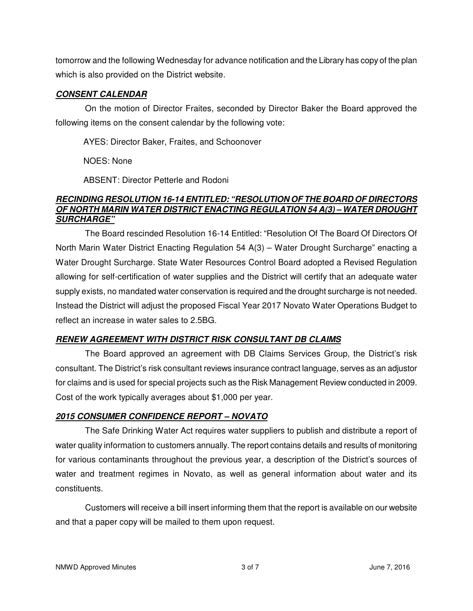tomorrow and the following Wednesday for advance notification and the Library has copy of the plan which is also provided on the District website.

# *CONSENT CALENDAR*

On the motion of Director Fraites, seconded by Director Baker the Board approved the following items on the consent calendar by the following vote:

AYES: Director Baker, Fraites, and Schoonover

NOES: None

ABSENT: Director Petterle and Rodoni

### *RECINDING RESOLUTION 16-14 ENTITLED: "RESOLUTION OF THE BOARD OF DIRECTORS OF NORTH MARIN WATER DISTRICT ENACTING REGULATION 54 A(3) – WATER DROUGHT SURCHARGE"*

The Board rescinded Resolution 16-14 Entitled: "Resolution Of The Board Of Directors Of North Marin Water District Enacting Regulation 54 A(3) – Water Drought Surcharge" enacting a Water Drought Surcharge. State Water Resources Control Board adopted a Revised Regulation allowing for self-certification of water supplies and the District will certify that an adequate water supply exists, no mandated water conservation is required and the drought surcharge is not needed. Instead the District will adjust the proposed Fiscal Year 2017 Novato Water Operations Budget to reflect an increase in water sales to 2.5BG.

# *RENEW AGREEMENT WITH DISTRICT RISK CONSULTANT DB CLAIMS*

The Board approved an agreement with DB Claims Services Group, the District's risk consultant. The District's risk consultant reviews insurance contract language, serves as an adjustor for claims and is used for special projects such as the Risk Management Review conducted in 2009. Cost of the work typically averages about \$1,000 per year.

# *2015 CONSUMER CONFIDENCE REPORT – NOVATO*

The Safe Drinking Water Act requires water suppliers to publish and distribute a report of water quality information to customers annually. The report contains details and results of monitoring for various contaminants throughout the previous year, a description of the District's sources of water and treatment regimes in Novato, as well as general information about water and its constituents.

Customers will receive a bill insert informing them that the report is available on our website and that a paper copy will be mailed to them upon request.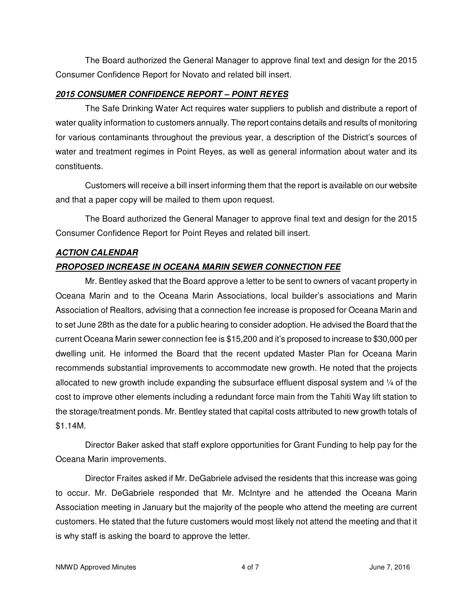The Board authorized the General Manager to approve final text and design for the 2015 Consumer Confidence Report for Novato and related bill insert.

## *2015 CONSUMER CONFIDENCE REPORT – POINT REYES*

The Safe Drinking Water Act requires water suppliers to publish and distribute a report of water quality information to customers annually. The report contains details and results of monitoring for various contaminants throughout the previous year, a description of the District's sources of water and treatment regimes in Point Reyes, as well as general information about water and its constituents.

Customers will receive a bill insert informing them that the report is available on our website and that a paper copy will be mailed to them upon request.

The Board authorized the General Manager to approve final text and design for the 2015 Consumer Confidence Report for Point Reyes and related bill insert.

## *ACTION CALENDAR*

# *PROPOSED INCREASE IN OCEANA MARIN SEWER CONNECTION FEE*

Mr. Bentley asked that the Board approve a letter to be sent to owners of vacant property in Oceana Marin and to the Oceana Marin Associations, local builder's associations and Marin Association of Realtors, advising that a connection fee increase is proposed for Oceana Marin and to set June 28th as the date for a public hearing to consider adoption. He advised the Board that the current Oceana Marin sewer connection fee is \$15,200 and it's proposed to increase to \$30,000 per dwelling unit. He informed the Board that the recent updated Master Plan for Oceana Marin recommends substantial improvements to accommodate new growth. He noted that the projects allocated to new growth include expanding the subsurface effluent disposal system and  $\frac{1}{4}$  of the cost to improve other elements including a redundant force main from the Tahiti Way lift station to the storage/treatment ponds. Mr. Bentley stated that capital costs attributed to new growth totals of \$1.14M.

Director Baker asked that staff explore opportunities for Grant Funding to help pay for the Oceana Marin improvements.

Director Fraites asked if Mr. DeGabriele advised the residents that this increase was going to occur. Mr. DeGabriele responded that Mr. McIntyre and he attended the Oceana Marin Association meeting in January but the majority of the people who attend the meeting are current customers. He stated that the future customers would most likely not attend the meeting and that it is why staff is asking the board to approve the letter.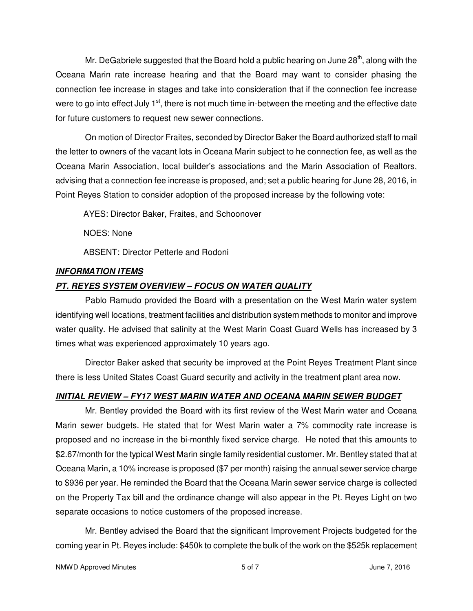Mr. DeGabriele suggested that the Board hold a public hearing on June  $28<sup>th</sup>$ , along with the Oceana Marin rate increase hearing and that the Board may want to consider phasing the connection fee increase in stages and take into consideration that if the connection fee increase were to go into effect July  $1<sup>st</sup>$ , there is not much time in-between the meeting and the effective date for future customers to request new sewer connections.

On motion of Director Fraites, seconded by Director Baker the Board authorized staff to mail the letter to owners of the vacant lots in Oceana Marin subject to he connection fee, as well as the Oceana Marin Association, local builder's associations and the Marin Association of Realtors, advising that a connection fee increase is proposed, and; set a public hearing for June 28, 2016, in Point Reyes Station to consider adoption of the proposed increase by the following vote:

AYES: Director Baker, Fraites, and Schoonover

NOES: None

ABSENT: Director Petterle and Rodoni

# *INFORMATION ITEMS*

# *PT. REYES SYSTEM OVERVIEW – FOCUS ON WATER QUALITY*

Pablo Ramudo provided the Board with a presentation on the West Marin water system identifying well locations, treatment facilities and distribution system methods to monitor and improve water quality. He advised that salinity at the West Marin Coast Guard Wells has increased by 3 times what was experienced approximately 10 years ago.

Director Baker asked that security be improved at the Point Reyes Treatment Plant since there is less United States Coast Guard security and activity in the treatment plant area now.

# *INITIAL REVIEW – FY17 WEST MARIN WATER AND OCEANA MARIN SEWER BUDGET*

Mr. Bentley provided the Board with its first review of the West Marin water and Oceana Marin sewer budgets. He stated that for West Marin water a 7% commodity rate increase is proposed and no increase in the bi-monthly fixed service charge. He noted that this amounts to \$2.67/month for the typical West Marin single family residential customer. Mr. Bentley stated that at Oceana Marin, a 10% increase is proposed (\$7 per month) raising the annual sewer service charge to \$936 per year. He reminded the Board that the Oceana Marin sewer service charge is collected on the Property Tax bill and the ordinance change will also appear in the Pt. Reyes Light on two separate occasions to notice customers of the proposed increase.

Mr. Bentley advised the Board that the significant Improvement Projects budgeted for the coming year in Pt. Reyes include: \$450k to complete the bulk of the work on the \$525k replacement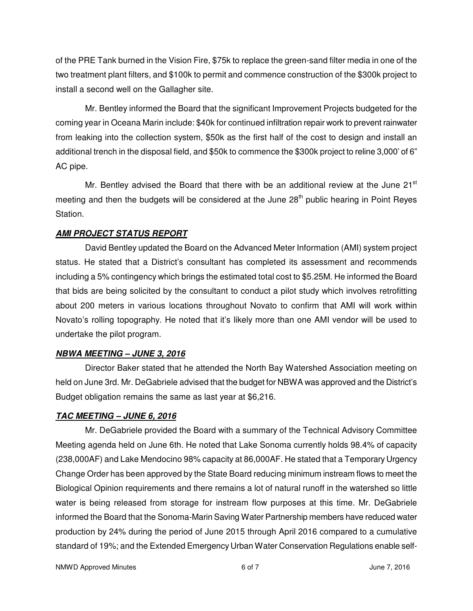of the PRE Tank burned in the Vision Fire, \$75k to replace the green-sand filter media in one of the two treatment plant filters, and \$100k to permit and commence construction of the \$300k project to install a second well on the Gallagher site.

Mr. Bentley informed the Board that the significant Improvement Projects budgeted for the coming year in Oceana Marin include: \$40k for continued infiltration repair work to prevent rainwater from leaking into the collection system, \$50k as the first half of the cost to design and install an additional trench in the disposal field, and \$50k to commence the \$300k project to reline 3,000' of 6" AC pipe.

Mr. Bentley advised the Board that there with be an additional review at the June 21 $^{\rm st}$ meeting and then the budgets will be considered at the June  $28<sup>th</sup>$  public hearing in Point Reyes Station.

# *AMI PROJECT STATUS REPORT*

David Bentley updated the Board on the Advanced Meter Information (AMI) system project status. He stated that a District's consultant has completed its assessment and recommends including a 5% contingency which brings the estimated total cost to \$5.25M. He informed the Board that bids are being solicited by the consultant to conduct a pilot study which involves retrofitting about 200 meters in various locations throughout Novato to confirm that AMI will work within Novato's rolling topography. He noted that it's likely more than one AMI vendor will be used to undertake the pilot program.

# *NBWA MEETING – JUNE 3, 2016*

Director Baker stated that he attended the North Bay Watershed Association meeting on held on June 3rd. Mr. DeGabriele advised that the budget for NBWA was approved and the District's Budget obligation remains the same as last year at \$6,216.

# *TAC MEETING – JUNE 6, 2016*

Mr. DeGabriele provided the Board with a summary of the Technical Advisory Committee Meeting agenda held on June 6th. He noted that Lake Sonoma currently holds 98.4% of capacity (238,000AF) and Lake Mendocino 98% capacity at 86,000AF. He stated that a Temporary Urgency Change Order has been approved by the State Board reducing minimum instream flows to meet the Biological Opinion requirements and there remains a lot of natural runoff in the watershed so little water is being released from storage for instream flow purposes at this time. Mr. DeGabriele informed the Board that the Sonoma-Marin Saving Water Partnership members have reduced water production by 24% during the period of June 2015 through April 2016 compared to a cumulative standard of 19%; and the Extended Emergency Urban Water Conservation Regulations enable self-

NMWD Approved Minutes and the control of the control of 6 of 7 control of 7 control of 10 dividends and 10 dividends of  $\sim$  6 of 7 control of 7 control of 10 dividends and 10 dividends and 10 dividends and 10 dividends an